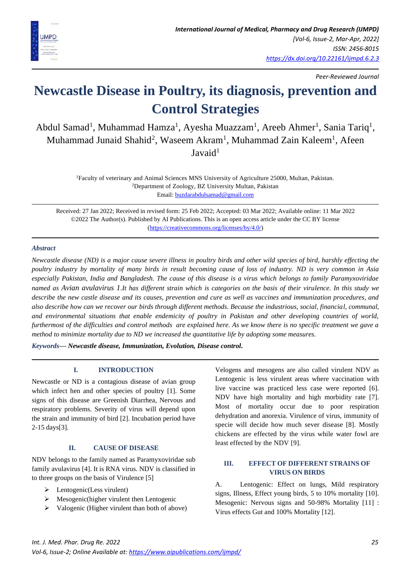

*Peer-Reviewed Journal*

# **Newcastle Disease in Poultry, its diagnosis, prevention and Control Strategies**

Abdul Samad<sup>1</sup>, Muhammad Hamza<sup>1</sup>, Ayesha Muazzam<sup>1</sup>, Areeb Ahmer<sup>1</sup>, Sania Tariq<sup>1</sup>, Muhammad Junaid Shahid<sup>2</sup>, Waseem Akram<sup>1</sup>, Muhammad Zain Kaleem<sup>1</sup>, Afeen Javaid<sup>1</sup>

> <sup>1</sup>Faculty of veterinary and Animal Sciences MNS University of Agriculture 25000, Multan, Pakistan. <sup>2</sup>Department of Zoology, BZ University Multan, Pakistan Email: [buzdarabdulsamad@gmail.com](mailto:buzdarabdulsamad@gmail.com)

Received: 27 Jan 2022; Received in revised form: 25 Feb 2022; Accepted: 03 Mar 2022; Available online: 11 Mar 2022 ©2022 The Author(s). Published by AI Publications. This is an open access article under the CC BY license [\(https://creativecommons.org/licenses/by/4.0/\)](https://creativecommons.org/licenses/by/4.0/)

# *Abstract*

*Newcastle disease (ND) is a major cause severe illness in poultry birds and other wild species of bird, harshly effecting the poultry industry by mortality of many birds in result becoming cause of loss of industry. ND is very common in Asia especially Pakistan, India and Bangladesh. The cause of this disease is a virus which belongs to family Paramyxoviridae named as Avian avulavirus 1.It has different strain which is categories on the basis of their virulence. In this study we describe the new castle disease and its causes, prevention and cure as well as vaccines and immunization procedures, and also describe how can we recover our birds through different methods. Because the industrious, social, financial, communal, and environmental situations that enable endemicity of poultry in Pakistan and other developing countries of world, furthermost of the difficulties and control methods are explained here. As we know there is no specific treatment we gave a method to minimize mortality due to ND we increased the quantitative life by adopting some measures.* 

*Keywords— Newcastle disease, Immunization, Evolution, Disease control.*

# **I. INTRODUCTION**

Newcastle or ND is a contagious disease of avian group which infect hen and other species of poultry [1]. Some signs of this disease are Greenish Diarrhea, Nervous and respiratory problems. Severity of virus will depend upon the strain and immunity of bird [2]. Incubation period have 2-15 days[3].

# **II. CAUSE OF DISEASE**

NDV belongs to the family named as Paramyxoviridae sub family avulavirus [4]. It is RNA virus. NDV is classified in to three groups on the basis of Virulence [5]

- $\triangleright$  Lentogenic(Less virulent)
- $\triangleright$  Mesogenic(higher virulent then Lentogenic
- ➢ Valogenic (Higher virulent than both of above)

Velogens and mesogens are also called virulent NDV as Lentogenic is less virulent areas where vaccination with live vaccine was practiced less case were reported [6]. NDV have high mortality and high morbidity rate [7]. Most of mortality occur due to poor respiration dehydration and anorexia. Virulence of virus, immunity of specie will decide how much sever disease [8]. Mostly chickens are effected by the virus while water fowl are least effected by the NDV [9].

# **III. EFFECT OF DIFFERENT STRAINS OF VIRUS ON BIRDS**

A. Lentogenic: Effect on lungs, Mild respiratory signs, Illness, Effect young birds, 5 to 10% mortality [10]. Mesogenic: Nervous signs and 50-98% Mortality [11] : Virus effects Gut and 100% Mortality [12].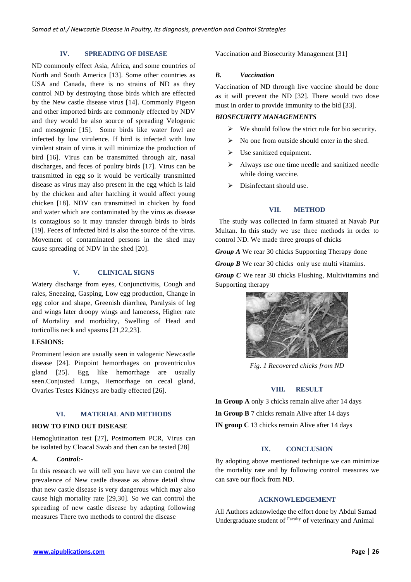## **IV. SPREADING OF DISEASE**

ND commonly effect Asia, Africa, and some countries of North and South America [13]. Some other countries as USA and Canada, there is no strains of ND as they control ND by destroying those birds which are effected by the New castle disease virus [14]. Commonly Pigeon and other imported birds are commonly effected by NDV and they would be also source of spreading Velogenic and mesogenic [15]. Some birds like water fowl are infected by low virulence. If bird is infected with low virulent strain of virus it will minimize the production of bird [16]. Virus can be transmitted through air, nasal discharges, and feces of poultry birds [17]. Virus can be transmitted in egg so it would be vertically transmitted disease as virus may also present in the egg which is laid by the chicken and after hatching it would affect young chicken [18]. NDV can transmitted in chicken by food and water which are contaminated by the virus as disease is contagious so it may transfer through birds to birds [19]. Feces of infected bird is also the source of the virus. Movement of contaminated persons in the shed may cause spreading of NDV in the shed [20].

# **V. CLINICAL SIGNS**

Watery discharge from eyes, Conjunctivitis, Cough and rales, Sneezing, Gasping, Low egg production, Change in egg color and shape, Greenish diarrhea, Paralysis of leg and wings later droopy wings and lameness, Higher rate of Mortality and morbidity, Swelling of Head and torticollis neck and spasms [21,22,23].

#### **LESIONS:**

Prominent lesion are usually seen in valogenic Newcastle disease [24]. Pinpoint hemorrhages on proventriculus gland [25]. Egg like hemorrhage are usually seen.Conjusted Lungs, Hemorrhage on cecal gland, Ovaries Testes Kidneys are badly effected [26].

# **VI. MATERIAL AND METHODS**

#### **HOW TO FIND OUT DISEASE**

Hemoglutination test [27], Postmortem PCR, Virus can be isolated by Cloacal Swab and then can be tested [28]

## *A. Control:-*

In this research we will tell you have we can control the prevalence of New castle disease as above detail show that new castle disease is very dangerous which may also cause high mortality rate [29,30]. So we can control the spreading of new castle disease by adapting following measures There two methods to control the disease

Vaccination and Biosecurity Management [31]

## *B. Vaccination*

Vaccination of ND through live vaccine should be done as it will prevent the ND [32]. There would two dose must in order to provide immunity to the bid [33].

# *BIOSECURITY MANAGEMENTS*

- $\triangleright$  We should follow the strict rule for bio security.
- $\triangleright$  No one from outside should enter in the shed.
- $\triangleright$  Use sanitized equipment.
- ➢ Always use one time needle and sanitized needle while doing vaccine.
- ➢ Disinfectant should use.

## **VII. METHOD**

 The study was collected in farm situated at Navab Pur Multan. In this study we use three methods in order to control ND. We made three groups of chicks

*Group A* We rear 30 chicks Supporting Therapy done

*Group B* We rear 30 chicks only use multi vitamins.

*Group C* We rear 30 chicks Flushing, Multivitamins and Supporting therapy



*Fig. 1 Recovered chicks from ND*

## **VIII. RESULT**

**In Group A** only 3 chicks remain alive after 14 days **In Group B** 7 chicks remain Alive after 14 days **IN group C** 13 chicks remain Alive after 14 days

# **IX. CONCLUSION**

By adopting above mentioned technique we can minimize the mortality rate and by following control measures we can save our flock from ND.

## **ACKNOWLEDGEMENT**

All Authors acknowledge the effort done by Abdul Samad Undergraduate student of Faculty of veterinary and Animal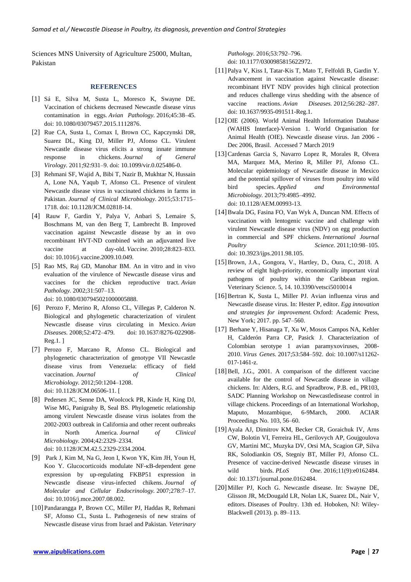Sciences MNS University of Agriculture 25000, Multan, Pakistan

#### **REFERENCES**

- [1] Sá E, Silva M, Susta L, Moresco K, Swayne DE. Vaccination of chickens decreased Newcastle disease virus contamination in eggs. *Avian Pathology.* 2016;45:38–45. doi: 10.1080/03079457.2015.1112876.
- [2] Rue CA, Susta L, Cornax I, Brown CC, Kapczynski DR, Suarez DL, King DJ, Miller PJ, Afonso CL. Virulent Newcastle disease virus elicits a strong innate immune response in chickens. *Journal of General Virology.* 2011;92:931–9. doi: 10.1099/vir.0.025486-0.
- [3] Rehmani SF, Wajid A, Bibi T, Nazir B, Mukhtar N, Hussain A, Lone NA, Yaqub T, Afonso CL. Presence of virulent Newcastle disease virus in vaccinated chickens in farms in Pakistan. *Journal of Clinical Microbiology.* 2015;53:1715– 1718. doi: 10.1128/JCM.02818-14.
- [4] Rauw F, Gardin Y, Palya V, Anbari S, Lemaire S, Boschmans M, van den Berg T, Lambrecht B. Improved vaccination against Newcastle disease by an in ovo recombinant HVT-ND combined with an adjuvanted live vaccine at day-old. *Vaccine.* 2010;28:823–833. doi: 10.1016/j.vaccine.2009.10.049.
- [5] Rao MS, Raj GD, Manohar BM. An in vitro and in vivo evaluation of the virulence of Newcastle disease virus and vaccines for the chicken reproductive tract. *Avian Pathology.* 2002;31:507–13.

doi: 10.1080/0307945021000005888.

- [6] Perozo F, Merino R, Afonso CL, Villegas P, Calderon N. Biological and phylogenetic characterization of virulent Newcastle disease virus circulating in Mexico. *Avian Diseases.* 2008;52:472–479. doi: 10.1637/8276-022908- Reg.1. ]
- [7] Perozo F, Marcano R, Afonso CL. Biological and phylogenetic characterization of genotype VII Newcastle disease virus from Venezuela: efficacy of field vaccination. *Journal* of Clinical *Microbiology.* 2012;50:1204–1208. doi: 10.1128/JCM.06506-11. [
- [8] Pedersen JC, Senne DA, Woolcock PR, Kinde H, King DJ, Wise MG, Panigrahy B, Seal BS. Phylogenetic relationship among virulent Newcastle disease virus isolates from the 2002-2003 outbreak in California and other recent outbreaks in North America. *Journal of Clinical Microbiology.* 2004;42:2329–2334. doi: 10.1128/JCM.42.5.2329-2334.2004.
- [9] Park J, Kim M, Na G, Jeon I, Kwon YK, Kim JH, Youn H, Koo Y. Glucocorticoids modulate NF-κB-dependent gene expression by up-regulating FKBP51 expression in Newcastle disease virus-infected chikens. *Journal of Molecular and Cellular Endocrinology.* 2007;278:7–17. doi: 10.1016/j.mce.2007.08.002.
- [10] Pandarangga P, Brown CC, Miller PJ, Haddas R, Rehmani SF, Afonso CL, Susta L. Pathogenesis of new strains of Newcastle disease virus from Israel and Pakistan. *Veterinary*

*Pathology.* 2016;53:792–796. doi: 10.1177/0300985815622972.

- [11] Palya V, Kiss I, Tatar-Kis T, Mato T, Felfoldi B, Gardin Y. Advancement in vaccination against Newcastle disease: recombinant HVT NDV provides high clinical protection and reduces challenge virus shedding with the absence of vaccine reactions. *Avian Diseases.* 2012;56:282–287. doi: 10.1637/9935-091511-Reg.1.
- [12] OIE (2006). World Animal Health Information Database (WAHIS Interface)-Version 1. World Organisation for Animal Health (OIE). Newcastle disease virus. Jan 2006 - Dec 2006, Brasil. Accessed 7 March 2019
- [13]Cardenas Garcia S, Navarro Lopez R, Morales R, Olvera MA, Marquez MA, Merino R, Miller PJ, Afonso CL. Molecular epidemiology of Newcastle disease in Mexico and the potential spillover of viruses from poultry into wild bird species. *Applied and Environmental Microbiology.* 2013;79:4985–4992. doi: 10.1128/AEM.00993-13.
- [14]Bwala DG, Fasina FO, Van Wyk A, Duncan NM. Effects of vaccination with lentogenic vaccine and challenge with virulent Newcastle disease virus (NDV) on egg production in commercial and SPF chickens. *International Journal Poultry Science.* 2011;10:98–105. doi: 10.3923/ijps.2011.98.105.
- [15]Brown, J.A., Gongora, V., Hartley, D., Oura, C., 2018. A review of eight high-priority, economically important viral pathogens of poultry within the Caribbean region. Veterinary Science. 5, 14. 10.3390/vetsci5010014
- [16] Bertran K, Susta L, Miller PJ. Avian influenza virus and Newcastle disease virus. In: Hester P, editor. *Egg innovation and strategies for improvement.* Oxford: Academic Press, New York; 2017. pp. 547–560.
- [17] Berhane Y, Hisanaga T, Xu W, Mosos Campos NA, Kehler H, Calderón Parra CP, Pasick J. Characterization of Colombian serotype 1 avian paramyxoviruses, 2008- 2010. *Virus Genes.* 2017;53:584–592. doi: 10.1007/s11262- 017-1461-z.
- [18] Bell, J.G., 2001. A comparison of the different vaccine available for the control of Newcastle disease in village chickens. In: Alders, R.G. and Spradbrow, P.B. ed., PR103, SADC Planning Workshop on Newcastledisease control in village chickens. Proceedings of an International Workshop, Maputo, Mozambique, 6-9March, 2000. ACIAR Proceedings No. 103, 56–60.
- [19]Ayala AJ, Dimitrov KM, Becker CR, Goraichuk IV, Arns CW, Bolotin VI, Ferreira HL, Gerilovych AP, Goujgoulova GV, Martini MC, Muzyka DV, Orsi MA, Scagion GP, Silva RK, Solodiankin OS, Stegniy BT, Miller PJ, Afonso CL. Presence of vaccine-derived Newcastle disease viruses in wild birds. *PLoS One.* 2016;11(9):e0162484. doi: 10.1371/journal.pone.0162484.
- [20]Miller PJ, Koch G. Newcastle disease. In: Swayne DE, Glisson JR, McDougald LR, Nolan LK, Suarez DL, Nair V, editors. Diseases of Poultry. 13th ed. Hoboken, NJ: Wiley-Blackwell (2013). p. 89–113.